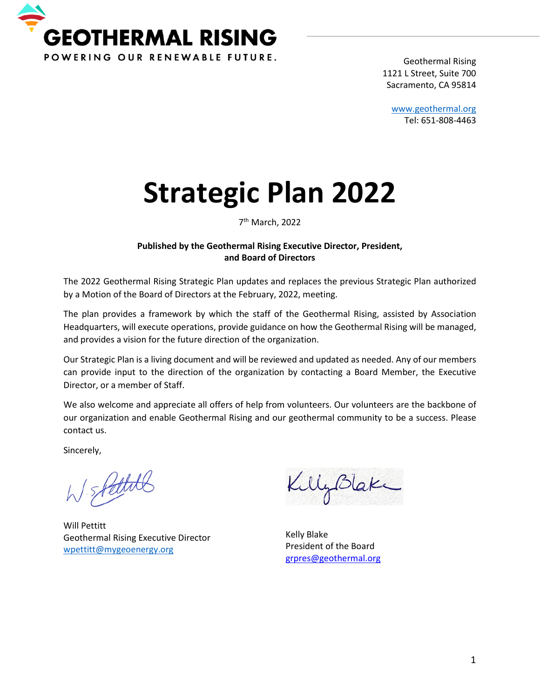

Geothermal Rising 1121 L Street, Suite 700 Sacramento, CA 95814

[www.geothermal.org](http://www.geothermal.org/) Tel: 651-808-4463

# **Strategic Plan 2022**

7th March, 2022

#### **Published by the Geothermal Rising Executive Director, President, and Board of Directors**

The 2022 Geothermal Rising Strategic Plan updates and replaces the previous Strategic Plan authorized by a Motion of the Board of Directors at the February, 2022, meeting.

The plan provides a framework by which the staff of the Geothermal Rising, assisted by Association Headquarters, will execute operations, provide guidance on how the Geothermal Rising will be managed, and provides a vision for the future direction of the organization.

Our Strategic Plan is a living document and will be reviewed and updated as needed. Any of our members can provide input to the direction of the organization by contacting a Board Member, the Executive Director, or a member of Staff.

We also welcome and appreciate all offers of help from volunteers. Our volunteers are the backbone of our organization and enable Geothermal Rising and our geothermal community to be a success. Please contact us.

Sincerely,

W SPettith

Will Pettitt Geothermal Rising Executive Director [wpettitt@mygeoenergy.org](mailto:wpettitt@mygeoenergy.org)

KillyBlake

Kelly Blake President of the Board [grpres@geothermal.org](mailto:grpres@geothermal.org)